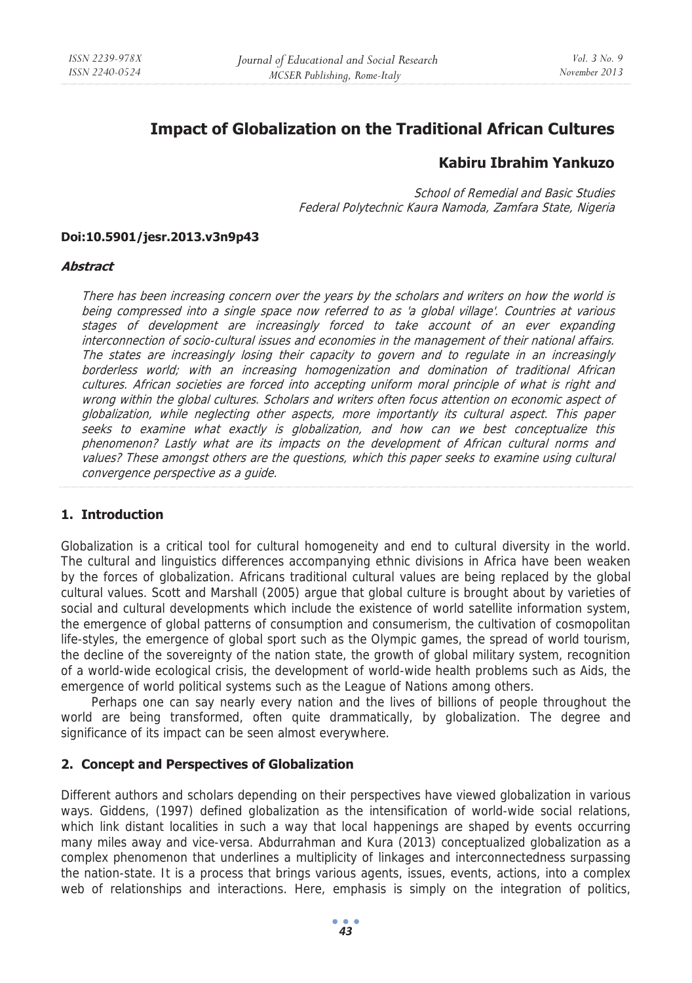# **Impact of Globalization on the Traditional African Cultures**

## **Kabiru Ibrahim Yankuzo**

School of Remedial and Basic Studies Federal Polytechnic Kaura Namoda, Zamfara State, Nigeria

#### **Doi:10.5901/jesr.2013.v3n9p43**

#### **Abstract**

There has been increasing concern over the years by the scholars and writers on how the world is being compressed into a single space now referred to as 'a global village'. Countries at various stages of development are increasingly forced to take account of an ever expanding interconnection of socio-cultural issues and economies in the management of their national affairs. The states are increasingly losing their capacity to govern and to regulate in an increasingly borderless world; with an increasing homogenization and domination of traditional African cultures. African societies are forced into accepting uniform moral principle of what is right and wrong within the global cultures. Scholars and writers often focus attention on economic aspect of globalization, while neglecting other aspects, more importantly its cultural aspect. This paper seeks to examine what exactly is globalization, and how can we best conceptualize this phenomenon? Lastly what are its impacts on the development of African cultural norms and values? These amongst others are the questions, which this paper seeks to examine using cultural convergence perspective as a guide.

## **1. Introduction**

Globalization is a critical tool for cultural homogeneity and end to cultural diversity in the world. The cultural and linguistics differences accompanying ethnic divisions in Africa have been weaken by the forces of globalization. Africans traditional cultural values are being replaced by the global cultural values. Scott and Marshall (2005) argue that global culture is brought about by varieties of social and cultural developments which include the existence of world satellite information system, the emergence of global patterns of consumption and consumerism, the cultivation of cosmopolitan life-styles, the emergence of global sport such as the Olympic games, the spread of world tourism, the decline of the sovereignty of the nation state, the growth of global military system, recognition of a world-wide ecological crisis, the development of world-wide health problems such as Aids, the emergence of world political systems such as the League of Nations among others.

Perhaps one can say nearly every nation and the lives of billions of people throughout the world are being transformed, often quite drammatically, by globalization. The degree and significance of its impact can be seen almost everywhere.

#### **2. Concept and Perspectives of Globalization**

Different authors and scholars depending on their perspectives have viewed globalization in various ways. Giddens, (1997) defined globalization as the intensification of world-wide social relations, which link distant localities in such a way that local happenings are shaped by events occurring many miles away and vice-versa. Abdurrahman and Kura (2013) conceptualized globalization as a complex phenomenon that underlines a multiplicity of linkages and interconnectedness surpassing the nation-state. It is a process that brings various agents, issues, events, actions, into a complex web of relationships and interactions. Here, emphasis is simply on the integration of politics,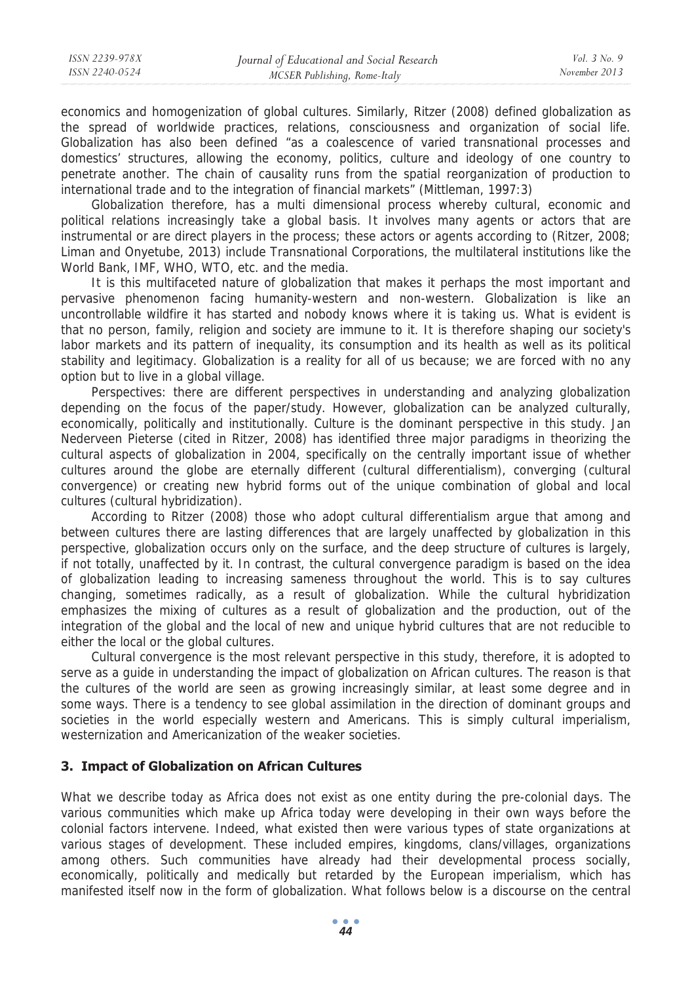economics and homogenization of global cultures. Similarly, Ritzer (2008) defined globalization as the spread of worldwide practices, relations, consciousness and organization of social life. Globalization has also been defined "as a coalescence of varied transnational processes and domestics' structures, allowing the economy, politics, culture and ideology of one country to penetrate another. The chain of causality runs from the spatial reorganization of production to international trade and to the integration of financial markets" (Mittleman, 1997:3)

Globalization therefore, has a multi dimensional process whereby cultural, economic and political relations increasingly take a global basis. It involves many agents or actors that are instrumental or are direct players in the process; these actors or agents according to (Ritzer, 2008; Liman and Onyetube, 2013) include Transnational Corporations, the multilateral institutions like the World Bank, IMF, WHO, WTO, etc. and the media.

It is this multifaceted nature of globalization that makes it perhaps the most important and pervasive phenomenon facing humanity-western and non-western. Globalization is like an uncontrollable wildfire it has started and nobody knows where it is taking us. What is evident is that no person, family, religion and society are immune to it. It is therefore shaping our society's labor markets and its pattern of inequality, its consumption and its health as well as its political stability and legitimacy. Globalization is a reality for all of us because; we are forced with no any option but to live in a global village.

Perspectives: there are different perspectives in understanding and analyzing globalization depending on the focus of the paper/study. However, globalization can be analyzed culturally, economically, politically and institutionally. Culture is the dominant perspective in this study. Jan Nederveen Pieterse (cited in Ritzer, 2008) has identified three major paradigms in theorizing the cultural aspects of globalization in 2004, specifically on the centrally important issue of whether cultures around the globe are eternally different (cultural differentialism), converging (cultural convergence) or creating new hybrid forms out of the unique combination of global and local cultures (cultural hybridization).

According to Ritzer (2008) those who adopt cultural differentialism argue that among and between cultures there are lasting differences that are largely unaffected by globalization in this perspective, globalization occurs only on the surface, and the deep structure of cultures is largely, if not totally, unaffected by it. In contrast, the cultural convergence paradigm is based on the idea of globalization leading to increasing sameness throughout the world. This is to say cultures changing, sometimes radically, as a result of globalization. While the cultural hybridization emphasizes the mixing of cultures as a result of globalization and the production, out of the integration of the global and the local of new and unique hybrid cultures that are not reducible to either the local or the global cultures.

Cultural convergence is the most relevant perspective in this study, therefore, it is adopted to serve as a guide in understanding the impact of globalization on African cultures. The reason is that the cultures of the world are seen as growing increasingly similar, at least some degree and in some ways. There is a tendency to see global assimilation in the direction of dominant groups and societies in the world especially western and Americans. This is simply cultural imperialism, westernization and Americanization of the weaker societies.

## **3. Impact of Globalization on African Cultures**

What we describe today as Africa does not exist as one entity during the pre-colonial days. The various communities which make up Africa today were developing in their own ways before the colonial factors intervene. Indeed, what existed then were various types of state organizations at various stages of development. These included empires, kingdoms, clans/villages, organizations among others. Such communities have already had their developmental process socially, economically, politically and medically but retarded by the European imperialism, which has manifested itself now in the form of globalization. What follows below is a discourse on the central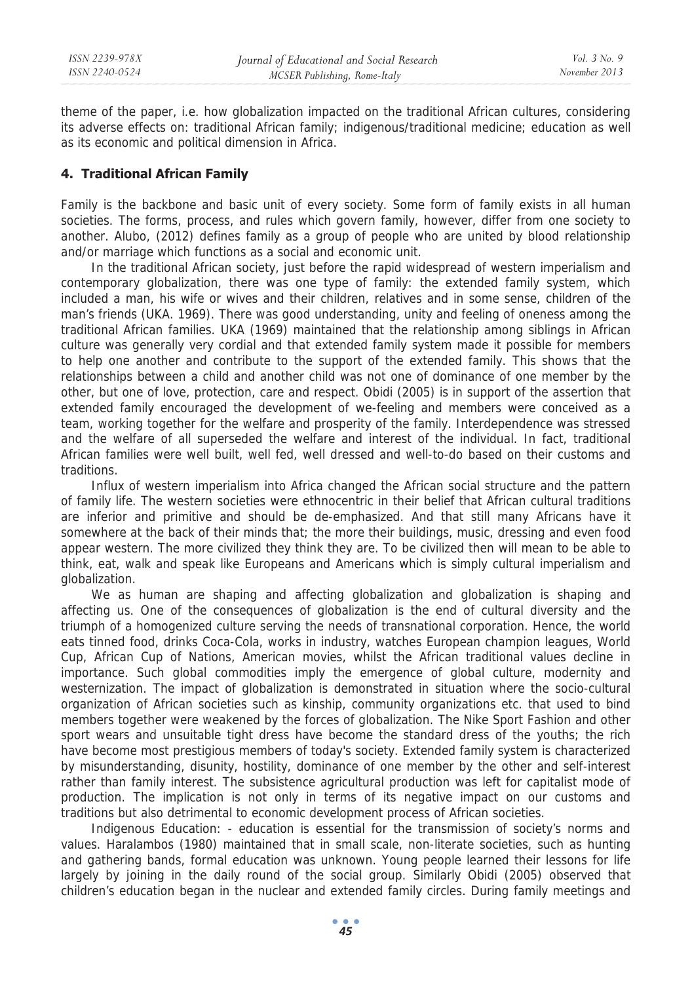theme of the paper, i.e. how globalization impacted on the traditional African cultures, considering its adverse effects on: traditional African family; indigenous/traditional medicine; education as well as its economic and political dimension in Africa.

## **4. Traditional African Family**

Family is the backbone and basic unit of every society. Some form of family exists in all human societies. The forms, process, and rules which govern family, however, differ from one society to another. Alubo, (2012) defines family as a group of people who are united by blood relationship and/or marriage which functions as a social and economic unit.

In the traditional African society, just before the rapid widespread of western imperialism and contemporary globalization, there was one type of family: the extended family system, which included a man, his wife or wives and their children, relatives and in some sense, children of the man's friends (UKA. 1969). There was good understanding, unity and feeling of oneness among the traditional African families. UKA (1969) maintained that the relationship among siblings in African culture was generally very cordial and that extended family system made it possible for members to help one another and contribute to the support of the extended family. This shows that the relationships between a child and another child was not one of dominance of one member by the other, but one of love, protection, care and respect. Obidi (2005) is in support of the assertion that extended family encouraged the development of we-feeling and members were conceived as a team, working together for the welfare and prosperity of the family. Interdependence was stressed and the welfare of all superseded the welfare and interest of the individual. In fact, traditional African families were well built, well fed, well dressed and well-to-do based on their customs and traditions.

Influx of western imperialism into Africa changed the African social structure and the pattern of family life. The western societies were ethnocentric in their belief that African cultural traditions are inferior and primitive and should be de-emphasized. And that still many Africans have it somewhere at the back of their minds that; the more their buildings, music, dressing and even food appear western. The more civilized they think they are. To be civilized then will mean to be able to think, eat, walk and speak like Europeans and Americans which is simply cultural imperialism and globalization.

We as human are shaping and affecting globalization and globalization is shaping and affecting us. One of the consequences of globalization is the end of cultural diversity and the triumph of a homogenized culture serving the needs of transnational corporation. Hence, the world eats tinned food, drinks Coca-Cola, works in industry, watches European champion leagues, World Cup, African Cup of Nations, American movies, whilst the African traditional values decline in importance. Such global commodities imply the emergence of global culture, modernity and westernization. The impact of globalization is demonstrated in situation where the socio-cultural organization of African societies such as kinship, community organizations etc. that used to bind members together were weakened by the forces of globalization. The Nike Sport Fashion and other sport wears and unsuitable tight dress have become the standard dress of the youths; the rich have become most prestigious members of today's society. Extended family system is characterized by misunderstanding, disunity, hostility, dominance of one member by the other and self-interest rather than family interest. The subsistence agricultural production was left for capitalist mode of production. The implication is not only in terms of its negative impact on our customs and traditions but also detrimental to economic development process of African societies.

Indigenous Education: - education is essential for the transmission of society's norms and values. Haralambos (1980) maintained that in small scale, non-literate societies, such as hunting and gathering bands, formal education was unknown. Young people learned their lessons for life largely by joining in the daily round of the social group. Similarly Obidi (2005) observed that children's education began in the nuclear and extended family circles. During family meetings and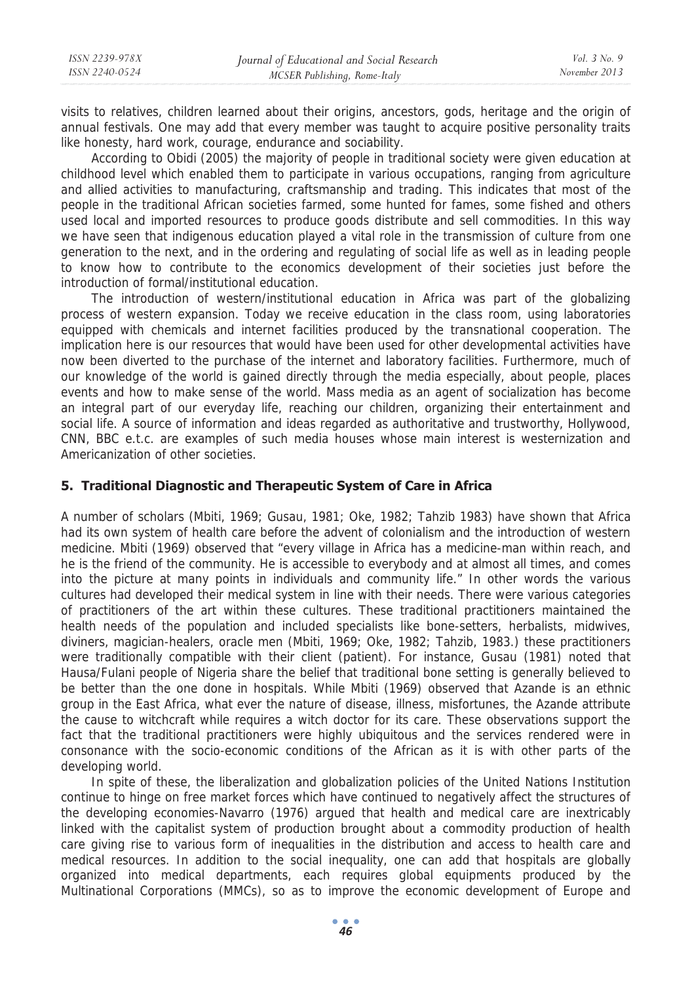visits to relatives, children learned about their origins, ancestors, gods, heritage and the origin of annual festivals. One may add that every member was taught to acquire positive personality traits like honesty, hard work, courage, endurance and sociability.

According to Obidi (2005) the majority of people in traditional society were given education at childhood level which enabled them to participate in various occupations, ranging from agriculture and allied activities to manufacturing, craftsmanship and trading. This indicates that most of the people in the traditional African societies farmed, some hunted for fames, some fished and others used local and imported resources to produce goods distribute and sell commodities. In this way we have seen that indigenous education played a vital role in the transmission of culture from one generation to the next, and in the ordering and regulating of social life as well as in leading people to know how to contribute to the economics development of their societies just before the introduction of formal/institutional education.

The introduction of western/institutional education in Africa was part of the globalizing process of western expansion. Today we receive education in the class room, using laboratories equipped with chemicals and internet facilities produced by the transnational cooperation. The implication here is our resources that would have been used for other developmental activities have now been diverted to the purchase of the internet and laboratory facilities. Furthermore, much of our knowledge of the world is gained directly through the media especially, about people, places events and how to make sense of the world. Mass media as an agent of socialization has become an integral part of our everyday life, reaching our children, organizing their entertainment and social life. A source of information and ideas regarded as authoritative and trustworthy, Hollywood, CNN, BBC e.t.c. are examples of such media houses whose main interest is westernization and Americanization of other societies.

## **5. Traditional Diagnostic and Therapeutic System of Care in Africa**

A number of scholars (Mbiti, 1969; Gusau, 1981; Oke, 1982; Tahzib 1983) have shown that Africa had its own system of health care before the advent of colonialism and the introduction of western medicine. Mbiti (1969) observed that "every village in Africa has a medicine-man within reach, and he is the friend of the community. He is accessible to everybody and at almost all times, and comes into the picture at many points in individuals and community life." In other words the various cultures had developed their medical system in line with their needs. There were various categories of practitioners of the art within these cultures. These traditional practitioners maintained the health needs of the population and included specialists like bone-setters, herbalists, midwives, diviners, magician-healers, oracle men (Mbiti, 1969; Oke, 1982; Tahzib, 1983.) these practitioners were traditionally compatible with their client (patient). For instance, Gusau (1981) noted that Hausa/Fulani people of Nigeria share the belief that traditional bone setting is generally believed to be better than the one done in hospitals. While Mbiti (1969) observed that Azande is an ethnic group in the East Africa, what ever the nature of disease, illness, misfortunes, the Azande attribute the cause to witchcraft while requires a witch doctor for its care. These observations support the fact that the traditional practitioners were highly ubiquitous and the services rendered were in consonance with the socio-economic conditions of the African as it is with other parts of the developing world.

In spite of these, the liberalization and globalization policies of the United Nations Institution continue to hinge on free market forces which have continued to negatively affect the structures of the developing economies-Navarro (1976) argued that health and medical care are inextricably linked with the capitalist system of production brought about a commodity production of health care giving rise to various form of inequalities in the distribution and access to health care and medical resources. In addition to the social inequality, one can add that hospitals are globally organized into medical departments, each requires global equipments produced by the Multinational Corporations (MMCs), so as to improve the economic development of Europe and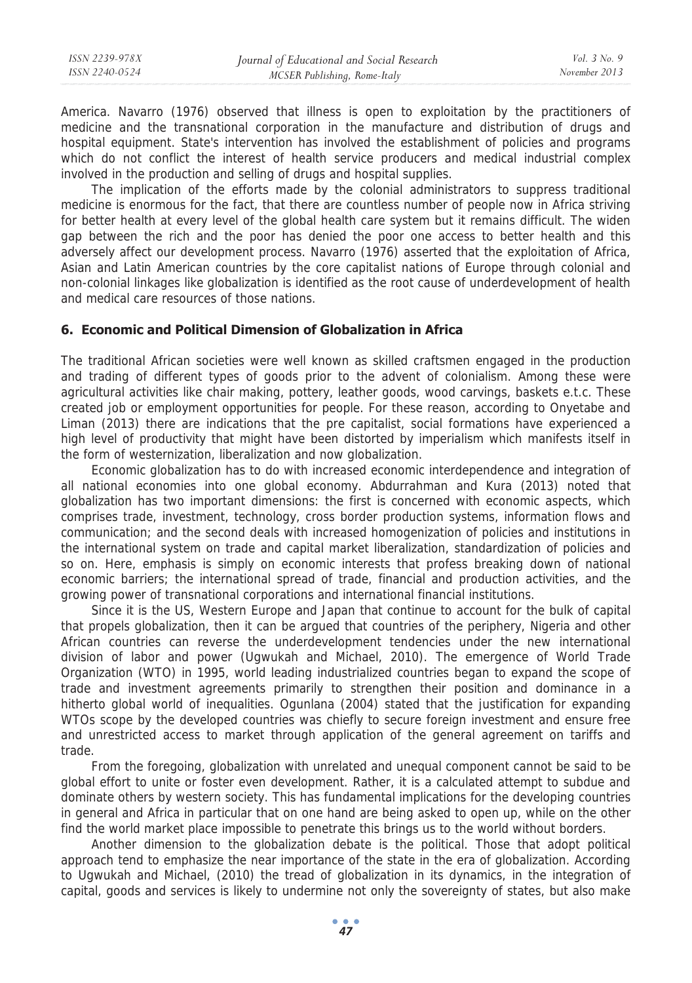America. Navarro (1976) observed that illness is open to exploitation by the practitioners of medicine and the transnational corporation in the manufacture and distribution of drugs and hospital equipment. State's intervention has involved the establishment of policies and programs which do not conflict the interest of health service producers and medical industrial complex involved in the production and selling of drugs and hospital supplies.

The implication of the efforts made by the colonial administrators to suppress traditional medicine is enormous for the fact, that there are countless number of people now in Africa striving for better health at every level of the global health care system but it remains difficult. The widen gap between the rich and the poor has denied the poor one access to better health and this adversely affect our development process. Navarro (1976) asserted that the exploitation of Africa, Asian and Latin American countries by the core capitalist nations of Europe through colonial and non-colonial linkages like globalization is identified as the root cause of underdevelopment of health and medical care resources of those nations.

## **6. Economic and Political Dimension of Globalization in Africa**

The traditional African societies were well known as skilled craftsmen engaged in the production and trading of different types of goods prior to the advent of colonialism. Among these were agricultural activities like chair making, pottery, leather goods, wood carvings, baskets e.t.c. These created job or employment opportunities for people. For these reason, according to Onyetabe and Liman (2013) there are indications that the pre capitalist, social formations have experienced a high level of productivity that might have been distorted by imperialism which manifests itself in the form of westernization, liberalization and now globalization.

Economic globalization has to do with increased economic interdependence and integration of all national economies into one global economy. Abdurrahman and Kura (2013) noted that globalization has two important dimensions: the first is concerned with economic aspects, which comprises trade, investment, technology, cross border production systems, information flows and communication; and the second deals with increased homogenization of policies and institutions in the international system on trade and capital market liberalization, standardization of policies and so on. Here, emphasis is simply on economic interests that profess breaking down of national economic barriers; the international spread of trade, financial and production activities, and the growing power of transnational corporations and international financial institutions.

Since it is the US, Western Europe and Japan that continue to account for the bulk of capital that propels globalization, then it can be argued that countries of the periphery, Nigeria and other African countries can reverse the underdevelopment tendencies under the new international division of labor and power (Ugwukah and Michael, 2010). The emergence of World Trade Organization (WTO) in 1995, world leading industrialized countries began to expand the scope of trade and investment agreements primarily to strengthen their position and dominance in a hitherto global world of inequalities. Ogunlana (2004) stated that the justification for expanding WTOs scope by the developed countries was chiefly to secure foreign investment and ensure free and unrestricted access to market through application of the general agreement on tariffs and trade.

From the foregoing, globalization with unrelated and unequal component cannot be said to be global effort to unite or foster even development. Rather, it is a calculated attempt to subdue and dominate others by western society. This has fundamental implications for the developing countries in general and Africa in particular that on one hand are being asked to open up, while on the other find the world market place impossible to penetrate this brings us to the world without borders.

Another dimension to the globalization debate is the political. Those that adopt political approach tend to emphasize the near importance of the state in the era of globalization. According to Ugwukah and Michael, (2010) the tread of globalization in its dynamics, in the integration of capital, goods and services is likely to undermine not only the sovereignty of states, but also make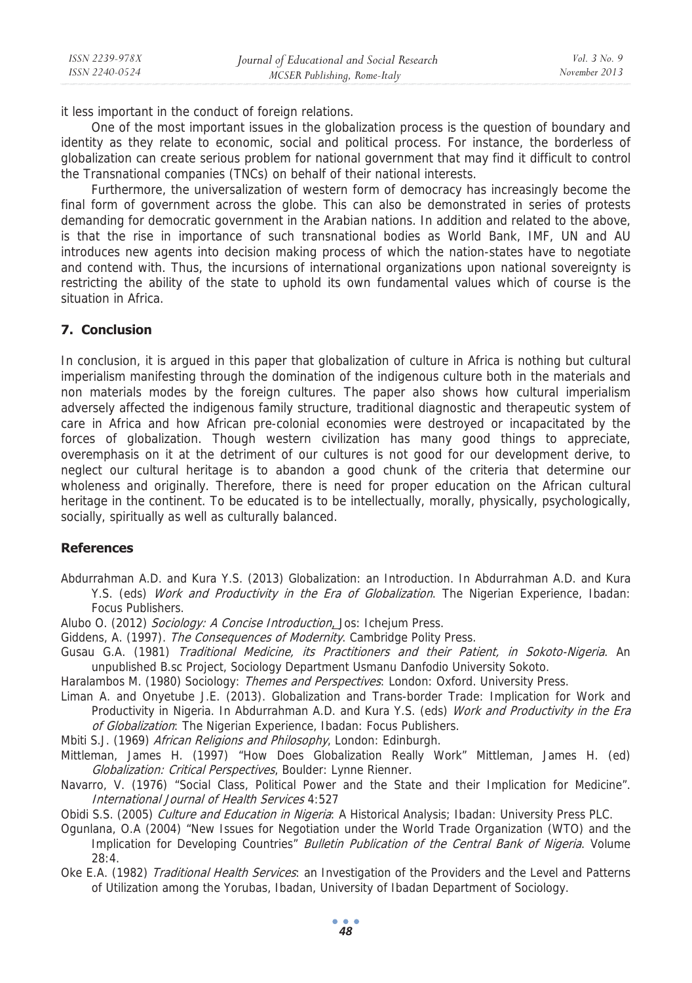| ISSN 2239-978X | Journal of Educational and Social Research | <i>Vol.</i> $3$ No. 9 |
|----------------|--------------------------------------------|-----------------------|
| ISSN 2240-0524 | MCSER Publishing, Rome-Italy               | November 2013         |

it less important in the conduct of foreign relations.

One of the most important issues in the globalization process is the question of boundary and identity as they relate to economic, social and political process. For instance, the borderless of globalization can create serious problem for national government that may find it difficult to control the Transnational companies (TNCs) on behalf of their national interests.

Furthermore, the universalization of western form of democracy has increasingly become the final form of government across the globe. This can also be demonstrated in series of protests demanding for democratic government in the Arabian nations. In addition and related to the above, is that the rise in importance of such transnational bodies as World Bank, IMF, UN and AU introduces new agents into decision making process of which the nation-states have to negotiate and contend with. Thus, the incursions of international organizations upon national sovereignty is restricting the ability of the state to uphold its own fundamental values which of course is the situation in Africa.

## **7. Conclusion**

In conclusion, it is argued in this paper that globalization of culture in Africa is nothing but cultural imperialism manifesting through the domination of the indigenous culture both in the materials and non materials modes by the foreign cultures. The paper also shows how cultural imperialism adversely affected the indigenous family structure, traditional diagnostic and therapeutic system of care in Africa and how African pre-colonial economies were destroyed or incapacitated by the forces of globalization. Though western civilization has many good things to appreciate, overemphasis on it at the detriment of our cultures is not good for our development derive, to neglect our cultural heritage is to abandon a good chunk of the criteria that determine our wholeness and originally. Therefore, there is need for proper education on the African cultural heritage in the continent. To be educated is to be intellectually, morally, physically, psychologically, socially, spiritually as well as culturally balanced.

#### **References**

- Abdurrahman A.D. and Kura Y.S. (2013) Globalization: an Introduction. In Abdurrahman A.D. and Kura Y.S. (eds) Work and Productivity in the Era of Globalization. The Nigerian Experience, Ibadan: Focus Publishers.
- Alubo O. (2012) Sociology: A Concise Introduction\_Jos: Ichejum Press.

Giddens, A. (1997). The Consequences of Modernity. Cambridge Polity Press.

- Gusau G.A. (1981) Traditional Medicine, its Practitioners and their Patient, in Sokoto-Nigeria. An unpublished B.sc Project, Sociology Department Usmanu Danfodio University Sokoto.
- Haralambos M. (1980) Sociology: Themes and Perspectives: London: Oxford. University Press.
- Liman A. and Onyetube J.E. (2013). Globalization and Trans-border Trade: Implication for Work and Productivity in Nigeria. In Abdurrahman A.D. and Kura Y.S. (eds) Work and Productivity in the Era of Globalization: The Nigerian Experience, Ibadan: Focus Publishers.

Mbiti S.J. (1969) African Religions and Philosophy, London: Edinburgh.

- Mittleman, James H. (1997) "How Does Globalization Really Work" Mittleman, James H. (ed) Globalization: Critical Perspectives, Boulder: Lynne Rienner.
- Navarro, V. (1976) "Social Class, Political Power and the State and their Implication for Medicine". International Journal of Health Services 4:527

Obidi S.S. (2005) Culture and Education in Nigeria: A Historical Analysis; Ibadan: University Press PLC.

- Ogunlana, O.A (2004) "New Issues for Negotiation under the World Trade Organization (WTO) and the Implication for Developing Countries" Bulletin Publication of the Central Bank of Nigeria. Volume 28:4.
- Oke E.A. (1982) Traditional Health Services: an Investigation of the Providers and the Level and Patterns of Utilization among the Yorubas, Ibadan, University of Ibadan Department of Sociology.